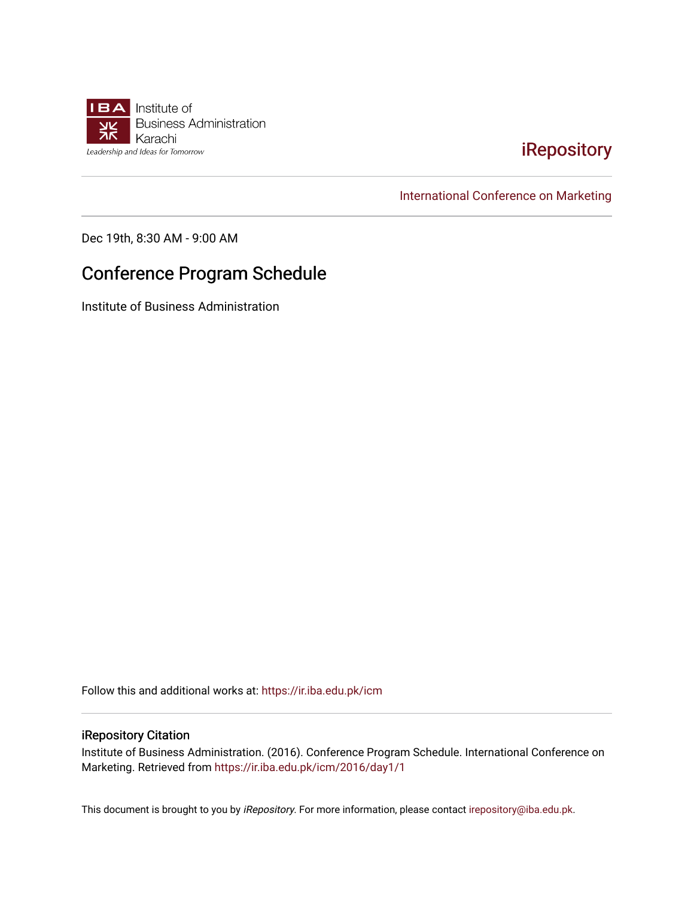

## [iRepository](https://ir.iba.edu.pk/)

[International Conference on Marketing](https://ir.iba.edu.pk/icm) 

Dec 19th, 8:30 AM - 9:00 AM

## Conference Program Schedule

Institute of Business Administration

Follow this and additional works at: [https://ir.iba.edu.pk/icm](https://ir.iba.edu.pk/icm?utm_source=ir.iba.edu.pk%2Ficm%2F2016%2Fday1%2F1&utm_medium=PDF&utm_campaign=PDFCoverPages) 

## iRepository Citation

Institute of Business Administration. (2016). Conference Program Schedule. International Conference on Marketing. Retrieved from [https://ir.iba.edu.pk/icm/2016/day1/1](https://ir.iba.edu.pk/icm/2016/day1/1?utm_source=ir.iba.edu.pk%2Ficm%2F2016%2Fday1%2F1&utm_medium=PDF&utm_campaign=PDFCoverPages) 

This document is brought to you by iRepository. For more information, please contact [irepository@iba.edu.pk](mailto:irepository@iba.edu.pk).